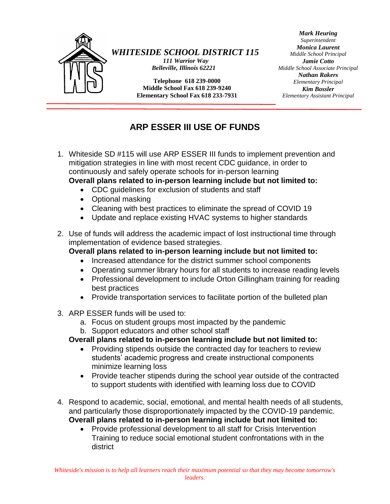

### *WHITESIDE SCHOOL DISTRICT 115*

*111 Warrior Way Belleville, Illinois 62221*

**Telephone 618 239-0000 Middle School Fax 618 239-9240 Elementary School Fax 618 233-7931**

**http://www.wssd115.org**

*Mark Heuring Superintendent Monica Laurent Middle School Principal Jamie Cotto Middle School Associate Principal Nathan Rakers Elementary Principal Kim Bossler Elementary Assistant Principal*

# **ARP ESSER III USE OF FUNDS**

- 1. Whiteside SD #115 will use ARP ESSER III funds to implement prevention and mitigation strategies in line with most recent CDC guidance, in order to continuously and safely operate schools for in-person learning **Overall plans related to in-person learning include but not limited to:**
	- CDC guidelines for exclusion of students and staff
	- Optional masking
	- Cleaning with best practices to eliminate the spread of COVID 19
	- Update and replace existing HVAC systems to higher standards
- 2. Use of funds will address the academic impact of lost instructional time through implementation of evidence based strategies.
	- **Overall plans related to in-person learning include but not limited to:**
		- Increased attendance for the district summer school components
		- Operating summer library hours for all students to increase reading levels
		- Professional development to include Orton Gillingham training for reading best practices
		- Provide transportation services to facilitate portion of the bulleted plan
- 3. ARP ESSER funds will be used to:
	- a. Focus on student groups most impacted by the pandemic
	- b. Support educators and other school staff

#### **Overall plans related to in-person learning include but not limited to:**

- Providing stipends outside the contracted day for teachers to review students' academic progress and create instructional components minimize learning loss
- Provide teacher stipends during the school year outside of the contracted to support students with identified with learning loss due to COVID
- 4. Respond to academic, social, emotional, and mental health needs of all students, and particularly those disproportionately impacted by the COVID-19 pandemic. **Overall plans related to in-person learning include but not limited to:**
	- Provide professional development to all staff for Crisis Intervention Training to reduce social emotional student confrontations with in the district